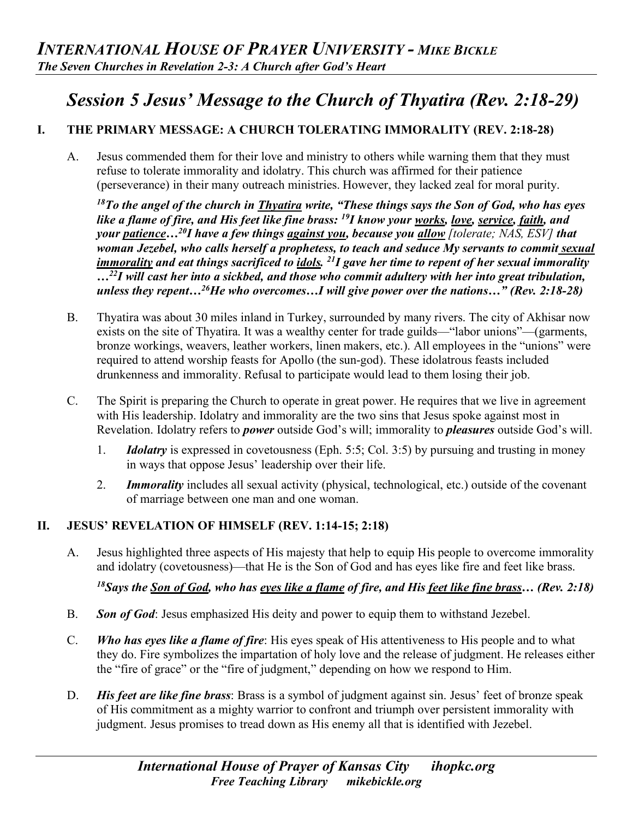# *Session 5 Jesus' Message to the Church of Thyatira (Rev. 2:18-29)*

# **I. THE PRIMARY MESSAGE: A CHURCH TOLERATING IMMORALITY (REV. 2:18-28)**

A. Jesus commended them for their love and ministry to others while warning them that they must refuse to tolerate immorality and idolatry. This church was affirmed for their patience (perseverance) in their many outreach ministries. However, they lacked zeal for moral purity.

*18To the angel of the church in Thyatira write, "These things says the Son of God, who has eyes like a flame of fire, and His feet like fine brass: 19I know your works, love, service, faith, and your patience…20I have a few things against you, because you allow [tolerate; NAS, ESV] that woman Jezebel, who calls herself a prophetess, to teach and seduce My servants to commit sexual immorality and eat things sacrificed to idols. 21I gave her time to repent of her sexual immorality …22I will cast her into a sickbed, and those who commit adultery with her into great tribulation, unless they repent…26He who overcomes…I will give power over the nations…" (Rev. 2:18-28)* 

- B. Thyatira was about 30 miles inland in Turkey, surrounded by many rivers. The city of Akhisar now exists on the site of Thyatira. It was a wealthy center for trade guilds—"labor unions"—(garments, bronze workings, weavers, leather workers, linen makers, etc.). All employees in the "unions" were required to attend worship feasts for Apollo (the sun-god). These idolatrous feasts included drunkenness and immorality. Refusal to participate would lead to them losing their job.
- C. The Spirit is preparing the Church to operate in great power. He requires that we live in agreement with His leadership. Idolatry and immorality are the two sins that Jesus spoke against most in Revelation. Idolatry refers to *power* outside God's will; immorality to *pleasures* outside God's will.
	- 1. *Idolatry* is expressed in covetousness (Eph. 5:5; Col. 3:5) by pursuing and trusting in money in ways that oppose Jesus' leadership over their life.
	- 2. *Immorality* includes all sexual activity (physical, technological, etc.) outside of the covenant of marriage between one man and one woman.

## **II. JESUS' REVELATION OF HIMSELF (REV. 1:14-15; 2:18)**

A. Jesus highlighted three aspects of His majesty that help to equip His people to overcome immorality and idolatry (covetousness)—that He is the Son of God and has eyes like fire and feet like brass.

*18Says the Son of God, who has eyes like a flame of fire, and His feet like fine brass… (Rev. 2:18)* 

- B. *Son of God*: Jesus emphasized His deity and power to equip them to withstand Jezebel.
- C. *Who has eyes like a flame of fire*: His eyes speak of His attentiveness to His people and to what they do. Fire symbolizes the impartation of holy love and the release of judgment. He releases either the "fire of grace" or the "fire of judgment," depending on how we respond to Him.
- D. *His feet are like fine brass*: Brass is a symbol of judgment against sin. Jesus' feet of bronze speak of His commitment as a mighty warrior to confront and triumph over persistent immorality with judgment. Jesus promises to tread down as His enemy all that is identified with Jezebel.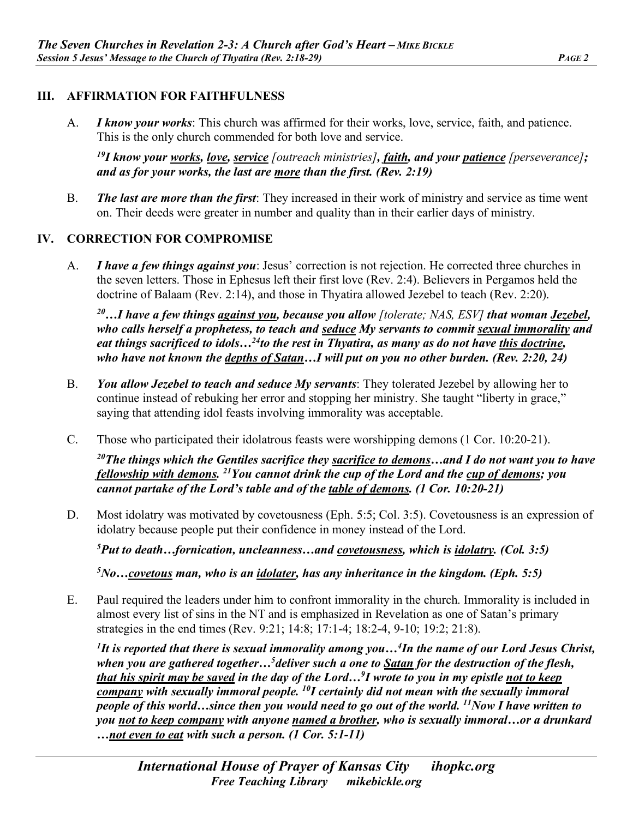### **III. AFFIRMATION FOR FAITHFULNESS**

A. *I know your works*: This church was affirmed for their works, love, service, faith, and patience. This is the only church commended for both love and service.

*19I know your works, love, service [outreach ministries], faith, and your patience [perseverance]; and as for your works, the last are more than the first. (Rev. 2:19)*

B. *The last are more than the first*: They increased in their work of ministry and service as time went on. Their deeds were greater in number and quality than in their earlier days of ministry.

#### **IV. CORRECTION FOR COMPROMISE**

A. *I have a few things against you*: Jesus' correction is not rejection. He corrected three churches in the seven letters. Those in Ephesus left their first love (Rev. 2:4). Believers in Pergamos held the doctrine of Balaam (Rev. 2:14), and those in Thyatira allowed Jezebel to teach (Rev. 2:20).

*20…I have a few things against you, because you allow [tolerate; NAS, ESV] that woman Jezebel, who calls herself a prophetess, to teach and seduce My servants to commit sexual immorality and eat things sacrificed to idols…24to the rest in Thyatira, as many as do not have this doctrine, who have not known the depths of Satan…I will put on you no other burden. (Rev. 2:20, 24)* 

- B. *You allow Jezebel to teach and seduce My servants*: They tolerated Jezebel by allowing her to continue instead of rebuking her error and stopping her ministry. She taught "liberty in grace," saying that attending idol feasts involving immorality was acceptable.
- C. Those who participated their idolatrous feasts were worshipping demons (1 Cor. 10:20-21).

*20The things which the Gentiles sacrifice they sacrifice to demons…and I do not want you to have fellowship with demons. 21You cannot drink the cup of the Lord and the cup of demons; you cannot partake of the Lord's table and of the table of demons. (1 Cor. 10:20-21)* 

D. Most idolatry was motivated by covetousness (Eph. 5:5; Col. 3:5). Covetousness is an expression of idolatry because people put their confidence in money instead of the Lord.

*5 Put to death…fornication, uncleanness…and covetousness, which is idolatry. (Col. 3:5)* 

*5No…covetous man, who is an idolater, has any inheritance in the kingdom. (Eph. 5:5)* 

E. Paul required the leaders under him to confront immorality in the church. Immorality is included in almost every list of sins in the NT and is emphasized in Revelation as one of Satan's primary strategies in the end times (Rev. 9:21; 14:8; 17:1-4; 18:2-4, 9-10; 19:2; 21:8).

*1 It is reported that there is sexual immorality among you…4 In the name of our Lord Jesus Christ, when you are gathered together…5deliver such a one to Satan for the destruction of the flesh, that his spirit may be saved in the day of the Lord…9 I wrote to you in my epistle not to keep company with sexually immoral people. 10I certainly did not mean with the sexually immoral people of this world…since then you would need to go out of the world. 11Now I have written to you not to keep company with anyone named a brother, who is sexually immoral…or a drunkard …not even to eat with such a person. (1 Cor. 5:1-11)*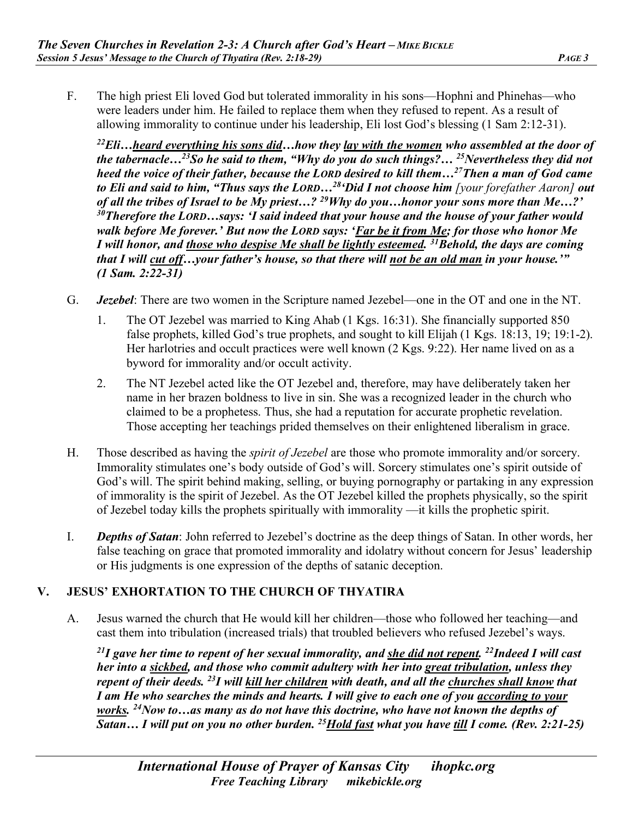F. The high priest Eli loved God but tolerated immorality in his sons—Hophni and Phinehas—who were leaders under him. He failed to replace them when they refused to repent. As a result of allowing immorality to continue under his leadership, Eli lost God's blessing (1 Sam 2:12-31).

*22Eli…heard everything his sons did…how they lay with the women who assembled at the door of the tabernacle…23So he said to them, "Why do you do such things?… 25Nevertheless they did not heed the voice of their father, because the LORD desired to kill them…27Then a man of God came to Eli and said to him, "Thus says the LORD…28'Did I not choose him [your forefather Aaron] out of all the tribes of Israel to be My priest…? 29Why do you…honor your sons more than Me…?' 30Therefore the LORD…says: 'I said indeed that your house and the house of your father would walk before Me forever.' But now the LORD says: 'Far be it from Me; for those who honor Me I will honor, and those who despise Me shall be lightly esteemed. 31Behold, the days are coming that I will cut off…your father's house, so that there will not be an old man in your house.'" (1 Sam. 2:22-31)* 

- G. *Jezebel*: There are two women in the Scripture named Jezebel—one in the OT and one in the NT.
	- 1. The OT Jezebel was married to King Ahab (1 Kgs. 16:31). She financially supported 850 false prophets, killed God's true prophets, and sought to kill Elijah (1 Kgs. 18:13, 19; 19:1-2). Her harlotries and occult practices were well known (2 Kgs. 9:22). Her name lived on as a byword for immorality and/or occult activity.
	- 2. The NT Jezebel acted like the OT Jezebel and, therefore, may have deliberately taken her name in her brazen boldness to live in sin. She was a recognized leader in the church who claimed to be a prophetess. Thus, she had a reputation for accurate prophetic revelation. Those accepting her teachings prided themselves on their enlightened liberalism in grace.
- H. Those described as having the *spirit of Jezebel* are those who promote immorality and/or sorcery. Immorality stimulates one's body outside of God's will. Sorcery stimulates one's spirit outside of God's will. The spirit behind making, selling, or buying pornography or partaking in any expression of immorality is the spirit of Jezebel. As the OT Jezebel killed the prophets physically, so the spirit of Jezebel today kills the prophets spiritually with immorality —it kills the prophetic spirit.
- I. *Depths of Satan*: John referred to Jezebel's doctrine as the deep things of Satan. In other words, her false teaching on grace that promoted immorality and idolatry without concern for Jesus' leadership or His judgments is one expression of the depths of satanic deception.

## **V. JESUS' EXHORTATION TO THE CHURCH OF THYATIRA**

A. Jesus warned the church that He would kill her children—those who followed her teaching—and cast them into tribulation (increased trials) that troubled believers who refused Jezebel's ways.

*21I gave her time to repent of her sexual immorality, and she did not repent. 22Indeed I will cast her into a sickbed, and those who commit adultery with her into great tribulation, unless they repent of their deeds. 23I will kill her children with death, and all the churches shall know that I am He who searches the minds and hearts. I will give to each one of you according to your works. 24Now to…as many as do not have this doctrine, who have not known the depths of Satan… I will put on you no other burden. 25Hold fast what you have till I come. (Rev. 2:21-25)*